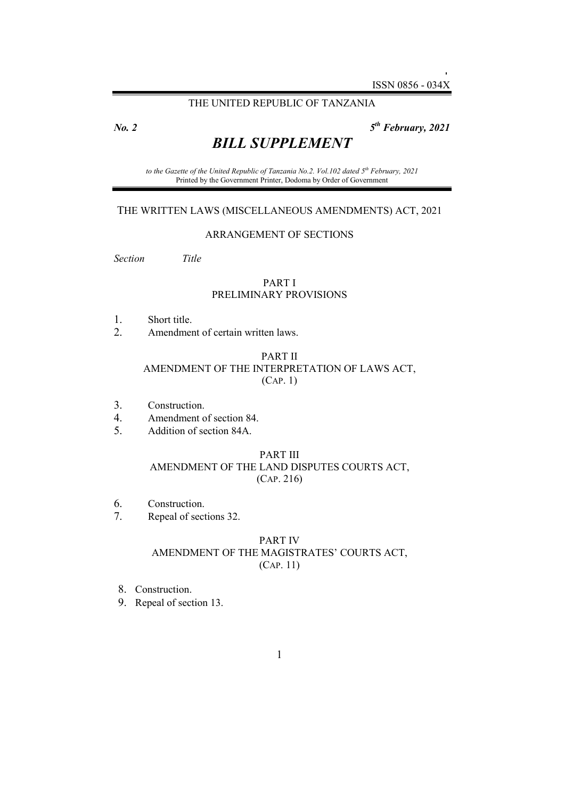THE UNITED REPUBLIC OF TANZANIA

*No. 2 5*

*th February, 2021*

# *BILL SUPPLEMENT*

*to the Gazette of the United Republic of Tanzania No.2. Vol.102 dated 5th February, 2021*  Printed by the Government Printer, Dodoma by Order of Government

#### THE WRITTEN LAWS (MISCELLANEOUS AMENDMENTS) ACT, 2021

#### ARRANGEMENT OF SECTIONS

*Section Title* 

#### PART I PRELIMINARY PROVISIONS

- 1. Short title.
- 2. Amendment of certain written laws.

#### PART II AMENDMENT OF THE INTERPRETATION OF LAWS ACT, (CAP. 1)

- 3. Construction.
- 4. Amendment of section 84.
- 5. Addition of section 84A.

#### PART III AMENDMENT OF THE LAND DISPUTES COURTS ACT, (CAP. 216)

- 6. Construction.
- 7. Repeal of sections 32.

#### PART IV AMENDMENT OF THE MAGISTRATES' COURTS ACT, (CAP. 11)

- 8. Construction.
- 9. Repeal of section 13.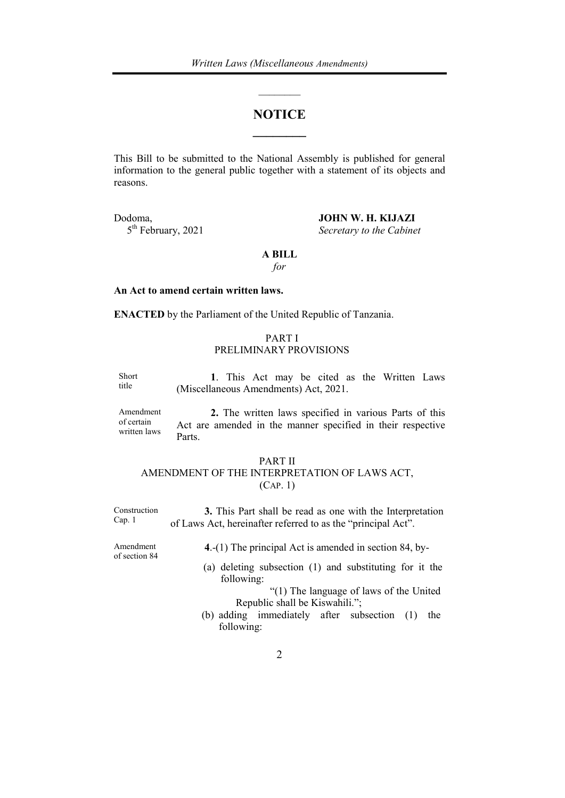## **NOTICE \_\_\_\_\_\_\_\_**

 $\overline{\phantom{a}}$ 

This Bill to be submitted to the National Assembly is published for general information to the general public together with a statement of its objects and reasons.

Dodoma, **JOHN W. H. KIJAZI**<br>5<sup>th</sup> February, 2021 Secretary to the Cabine Secretary to the Cabinet

#### **A BILL**

*for* 

#### **An Act to amend certain written laws.**

**ENACTED** by the Parliament of the United Republic of Tanzania.

#### PART I PRELIMINARY PROVISIONS

Short title **1**. This Act may be cited as the Written Laws (Miscellaneous Amendments) Act, 2021.

Amendment of certain written laws

**2.** The written laws specified in various Parts of this Act are amended in the manner specified in their respective Parts.

#### PART II

## AMENDMENT OF THE INTERPRETATION OF LAWS ACT, (CAP. 1)

Construction Cap. 1 **3.** This Part shall be read as one with the Interpretation of Laws Act, hereinafter referred to as the "principal Act".

Amendment of section 84 **4**.-(1) The principal Act is amended in section 84, by-

 (a) deleting subsection (1) and substituting for it the following:

 "(1) The language of laws of the United Republic shall be Kiswahili.";

 (b) adding immediately after subsection (1) the following: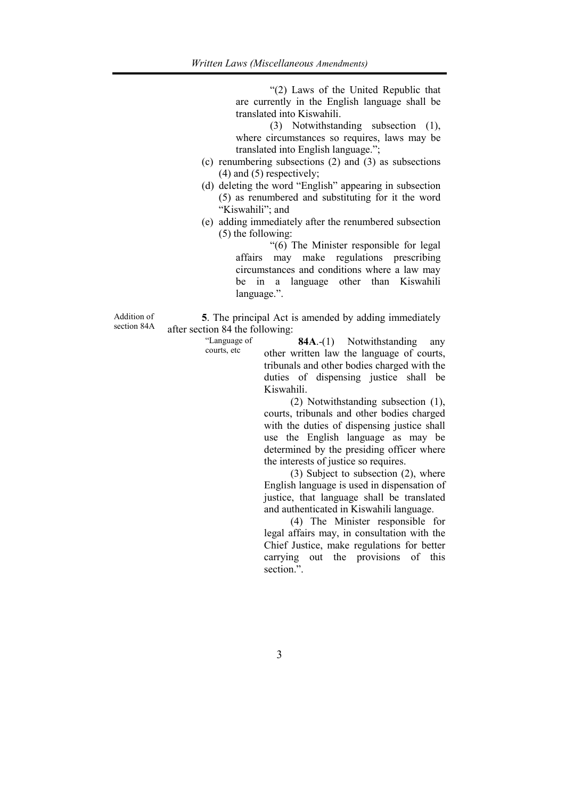"(2) Laws of the United Republic that are currently in the English language shall be translated into Kiswahili.

 (3) Notwithstanding subsection (1), where circumstances so requires, laws may be translated into English language.";

- (c) renumbering subsections (2) and (3) as subsections (4) and (5) respectively;
- (d) deleting the word "English" appearing in subsection (5) as renumbered and substituting for it the word "Kiswahili"; and
- (e) adding immediately after the renumbered subsection (5) the following:

 "(6) The Minister responsible for legal affairs may make regulations prescribing circumstances and conditions where a law may be in a language other than Kiswahili language.".

Addition of section 84A

**5**. The principal Act is amended by adding immediately after section 84 the following:

> "Language of courts, etc

**84A**.-(1) Notwithstanding any other written law the language of courts, tribunals and other bodies charged with the duties of dispensing justice shall be Kiswahili.

 (2) Notwithstanding subsection (1), courts, tribunals and other bodies charged with the duties of dispensing justice shall use the English language as may be determined by the presiding officer where the interests of justice so requires.

 (3) Subject to subsection (2), where English language is used in dispensation of justice, that language shall be translated and authenticated in Kiswahili language.

 (4) The Minister responsible for legal affairs may, in consultation with the Chief Justice, make regulations for better carrying out the provisions of this section.".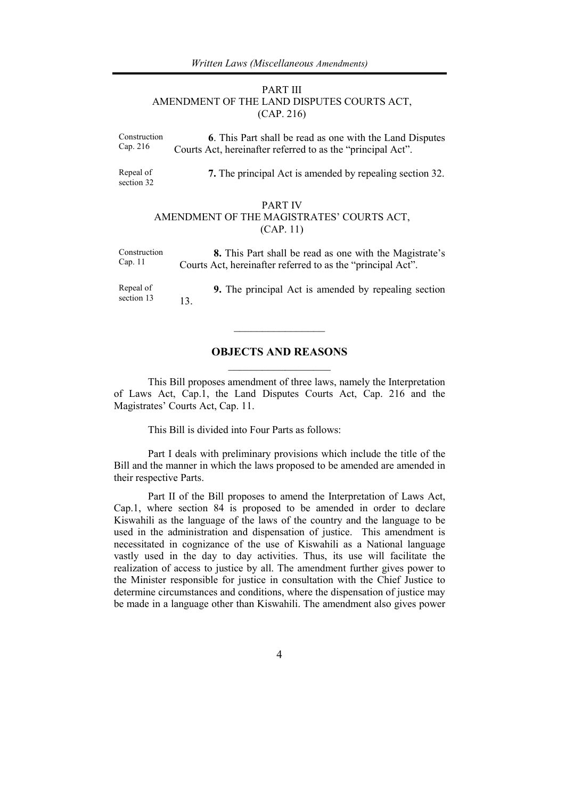#### PART III AMENDMENT OF THE LAND DISPUTES COURTS ACT, (CAP. 216)

Construction Cap. 216 **6**. This Part shall be read as one with the Land Disputes Courts Act, hereinafter referred to as the "principal Act".

Repeal of section 32 **7.** The principal Act is amended by repealing section 32.

#### PART IV AMENDMENT OF THE MAGISTRATES' COURTS ACT, (CAP. 11)

| Construction | 8. This Part shall be read as one with the Magistrate's     |
|--------------|-------------------------------------------------------------|
| Cap. 11      | Courts Act, hereinafter referred to as the "principal Act". |
|              |                                                             |

Repeal of section 13 **9.** The principal Act is amended by repealing section 13.

 $\frac{1}{2}$  ,  $\frac{1}{2}$  ,  $\frac{1}{2}$  ,  $\frac{1}{2}$  ,  $\frac{1}{2}$  ,  $\frac{1}{2}$  ,  $\frac{1}{2}$ 

## **OBJECTS AND REASONS**  \_\_\_\_\_\_\_\_\_\_\_\_\_\_\_\_\_\_

 This Bill proposes amendment of three laws, namely the Interpretation of Laws Act, Cap.1, the Land Disputes Courts Act, Cap. 216 and the Magistrates' Courts Act, Cap. 11.

This Bill is divided into Four Parts as follows:

 Part I deals with preliminary provisions which include the title of the Bill and the manner in which the laws proposed to be amended are amended in their respective Parts.

 Part II of the Bill proposes to amend the Interpretation of Laws Act, Cap.1, where section 84 is proposed to be amended in order to declare Kiswahili as the language of the laws of the country and the language to be used in the administration and dispensation of justice. This amendment is necessitated in cognizance of the use of Kiswahili as a National language vastly used in the day to day activities. Thus, its use will facilitate the realization of access to justice by all. The amendment further gives power to the Minister responsible for justice in consultation with the Chief Justice to determine circumstances and conditions, where the dispensation of justice may be made in a language other than Kiswahili. The amendment also gives power